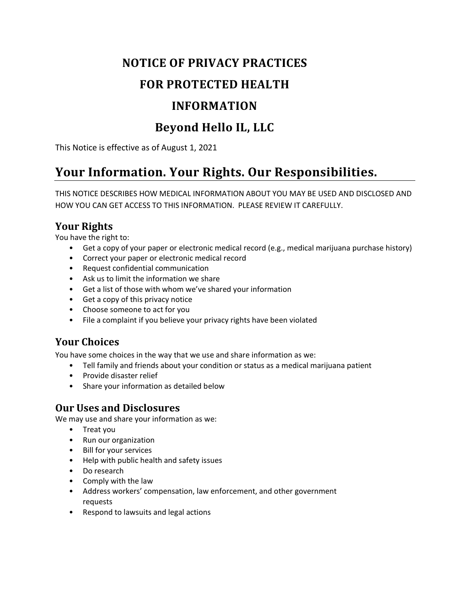# **NOTICE OF PRIVACY PRACTICES**

# **FOR PROTECTED HEALTH**

# **INFORMATION**

# **Beyond Hello IL, LLC**

This Notice is effective as of August 1, 2021

# **Your Information. Your Rights. Our Responsibilities.**

THIS NOTICE DESCRIBES HOW MEDICAL INFORMATION ABOUT YOU MAY BE USED AND DISCLOSED AND HOW YOU CAN GET ACCESS TO THIS INFORMATION. PLEASE REVIEW IT CAREFULLY.

## **Your Rights**

You have the right to:

- Get a copy of your paper or electronic medical record (e.g., medical marijuana purchase history)
- Correct your paper or electronic medical record
- Request confidential communication
- Ask us to limit the information we share
- Get a list of those with whom we've shared your information
- Get a copy of this privacy notice
- Choose someone to act for you
- File a complaint if you believe your privacy rights have been violated

## **Your Choices**

You have some choices in the way that we use and share information as we:

- Tell family and friends about your condition or status as a medical marijuana patient
- Provide disaster relief
- Share your information as detailed below

## **Our Uses and Disclosures**

We may use and share your information as we:

- Treat you
- Run our organization
- Bill for your services
- Help with public health and safety issues
- Do research
- Comply with the law
- Address workers' compensation, law enforcement, and other government requests
- Respond to lawsuits and legal actions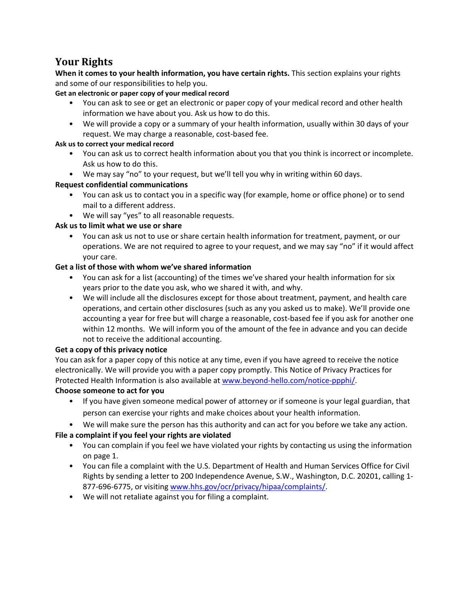# **Your Rights**

**When it comes to your health information, you have certain rights.** This section explains your rights and some of our responsibilities to help you.

**Get an electronic or paper copy of your medical record** 

- You can ask to see or get an electronic or paper copy of your medical record and other health information we have about you. Ask us how to do this.
- We will provide a copy or a summary of your health information, usually within 30 days of your request. We may charge a reasonable, cost-based fee.

### **Ask us to correct your medical record**

- You can ask us to correct health information about you that you think is incorrect or incomplete. Ask us how to do this.
- We may say "no" to your request, but we'll tell you why in writing within 60 days.

### **Request confidential communications**

- You can ask us to contact you in a specific way (for example, home or office phone) or to send mail to a different address.
- We will say "yes" to all reasonable requests.

### **Ask us to limit what we use or share**

• You can ask us not to use or share certain health information for treatment, payment, or our operations. We are not required to agree to your request, and we may say "no" if it would affect your care.

### **Get a list of those with whom we've shared information**

- You can ask for a list (accounting) of the times we've shared your health information for six years prior to the date you ask, who we shared it with, and why.
- We will include all the disclosures except for those about treatment, payment, and health care operations, and certain other disclosures (such as any you asked us to make). We'll provide one accounting a year for free but will charge a reasonable, cost-based fee if you ask for another one within 12 months. We will inform you of the amount of the fee in advance and you can decide not to receive the additional accounting.

#### **Get a copy of this privacy notice**

You can ask for a paper copy of this notice at any time, even if you have agreed to receive the notice electronically. We will provide you with a paper copy promptly. This Notice of Privacy Practices for Protected Health Information is also available a[t www.beyond-hello.com/notice-ppphi/.](http://www.beyond-hello.com/notice-ppphi/)

## **Choose someone to act for you**

- If you have given someone medical power of attorney or if someone is your legal guardian, that person can exercise your rights and make choices about your health information.
- We will make sure the person has this authority and can act for you before we take any action.

## **File a complaint if you feel your rights are violated**

- You can complain if you feel we have violated your rights by contacting us using the information on page 1.
- You can file a complaint with the U.S. Department of Health and Human Services Office for Civil Rights by sending a letter to 200 Independence Avenue, S.W., Washington, D.C. 20201, calling 1- 877-696-6775, or visiting [www.hhs.gov/ocr/privacy/hipaa/complaints/.](http://www.hhs.gov/ocr/privacy/hipaa/complaints/)
- We will not retaliate against you for filing a complaint.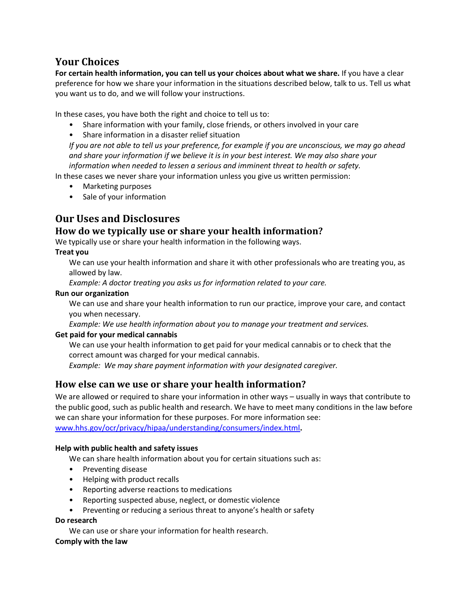# **Your Choices**

**For certain health information, you can tell us your choices about what we share.** If you have a clear preference for how we share your information in the situations described below, talk to us. Tell us what you want us to do, and we will follow your instructions.

In these cases, you have both the right and choice to tell us to:

- Share information with your family, close friends, or others involved in your care
- Share information in a disaster relief situation

*If you are not able to tell us your preference, for example if you are unconscious, we may go ahead and share your information if we believe it is in your best interest. We may also share your information when needed to lessen a serious and imminent threat to health or safety.*

In these cases we never share your information unless you give us written permission:

- Marketing purposes
- Sale of your information

# **Our Uses and Disclosures**

## **How do we typically use or share your health information?**

We typically use or share your health information in the following ways.

#### **Treat you**

We can use your health information and share it with other professionals who are treating you, as allowed by law.

*Example: A doctor treating you asks us for information related to your care.* 

#### **Run our organization**

We can use and share your health information to run our practice, improve your care, and contact you when necessary.

*Example: We use health information about you to manage your treatment and services.* 

#### **Get paid for your medical cannabis**

We can use your health information to get paid for your medical cannabis or to check that the correct amount was charged for your medical cannabis.

*Example: We may share payment information with your designated caregiver.*

## **How else can we use or share your health information?**

We are allowed or required to share your information in other ways – usually in ways that contribute to the public good, such as public health and research. We have to meet many conditions in the law before we can share your information for these purposes. For more information see: [www.hhs.gov/ocr/privacy/hipaa/understanding/consumers/index.html](http://www.hhs.gov/ocr/privacy/hipaa/understanding/consumers/index.html)**.**

#### **Help with public health and safety issues**

We can share health information about you for certain situations such as:

- Preventing disease
- Helping with product recalls
- Reporting adverse reactions to medications
- Reporting suspected abuse, neglect, or domestic violence
- Preventing or reducing a serious threat to anyone's health or safety

#### **Do research**

We can use or share your information for health research.

#### **Comply with the law**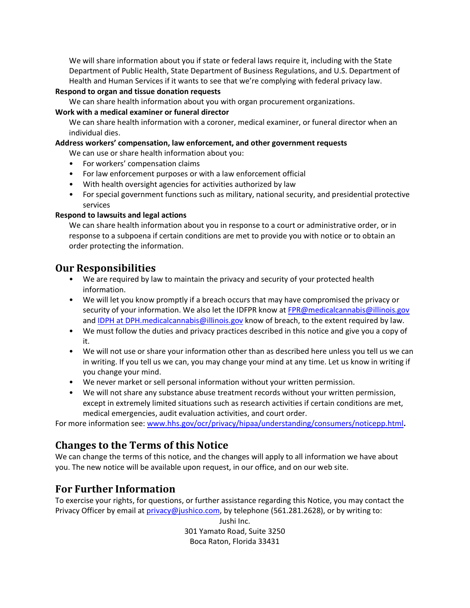We will share information about you if state or federal laws require it, including with the State Department of Public Health, State Department of Business Regulations, and U.S. Department of Health and Human Services if it wants to see that we're complying with federal privacy law.

#### **Respond to organ and tissue donation requests**

We can share health information about you with organ procurement organizations.

#### **Work with a medical examiner or funeral director**

We can share health information with a coroner, medical examiner, or funeral director when an individual dies.

#### **Address workers' compensation, law enforcement, and other government requests**

We can use or share health information about you:

- For workers' compensation claims
- For law enforcement purposes or with a law enforcement official
- With health oversight agencies for activities authorized by law
- For special government functions such as military, national security, and presidential protective services

#### **Respond to lawsuits and legal actions**

We can share health information about you in response to a court or administrative order, or in response to a subpoena if certain conditions are met to provide you with notice or to obtain an order protecting the information.

## **Our Responsibilities**

- We are required by law to maintain the privacy and security of your protected health information.
- We will let you know promptly if a breach occurs that may have compromised the privacy or security of your information. We also let the IDFPR know at FPR@medicalcannabis@illinois.gov and IDPH at [DPH.medicalcannabis@illinois.gov](mailto:DPH.medicalcannabis@illinois.gov) know of breach, to the extent required by law.
- We must follow the duties and privacy practices described in this notice and give you a copy of it.
- We will not use or share your information other than as described here unless you tell us we can in writing. If you tell us we can, you may change your mind at any time. Let us know in writing if you change your mind.
- We never market or sell personal information without your written permission.
- We will not share any substance abuse treatment records without your written permission, except in extremely limited situations such as research activities if certain conditions are met, medical emergencies, audit evaluation activities, and court order.

For more information see: [www.hhs.gov/ocr/privacy/hipaa/understanding/consumers/noticepp.html](http://www.hhs.gov/ocr/privacy/hipaa/understanding/consumers/noticepp.html)**.**

## **Changes to the Terms of this Notice**

We can change the terms of this notice, and the changes will apply to all information we have about you. The new notice will be available upon request, in our office, and on our web site.

## **For Further Information**

To exercise your rights, for questions, or further assistance regarding this Notice, you may contact the Privacy Officer by email at *privacy@jushico.com*, by telephone (561.281.2628), or by writing to:

> Jushi Inc. 301 Yamato Road, Suite 3250 Boca Raton, Florida 33431